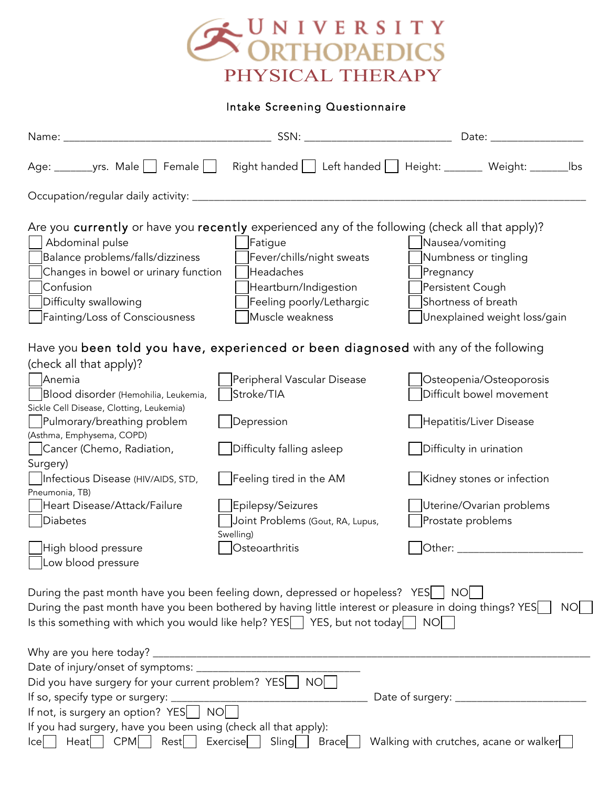

Intake Screening Questionnaire

|                                                                                                         |                                  | Date: and the state of the state of the state of the state of the state of the state of the state of the state |
|---------------------------------------------------------------------------------------------------------|----------------------------------|----------------------------------------------------------------------------------------------------------------|
|                                                                                                         |                                  | Age: ________yrs. Male   Female   Right handed   Left handed   Height: _______ Weight: ________ lbs            |
|                                                                                                         |                                  |                                                                                                                |
|                                                                                                         |                                  |                                                                                                                |
| Are you currently or have you recently experienced any of the following (check all that apply)?         |                                  |                                                                                                                |
| Abdominal pulse                                                                                         | Fatigue                          | Nausea/vomiting                                                                                                |
| Balance problems/falls/dizziness                                                                        | Fever/chills/night sweats        | Numbness or tingling                                                                                           |
| Changes in bowel or urinary function                                                                    | Headaches                        | Pregnancy                                                                                                      |
| Confusion                                                                                               | Heartburn/Indigestion            | Persistent Cough                                                                                               |
| Difficulty swallowing                                                                                   | Feeling poorly/Lethargic         | Shortness of breath                                                                                            |
| Fainting/Loss of Consciousness                                                                          | Muscle weakness                  | Unexplained weight loss/gain                                                                                   |
| Have you been told you have, experienced or been diagnosed with any of the following                    |                                  |                                                                                                                |
| (check all that apply)?                                                                                 |                                  |                                                                                                                |
| Anemia                                                                                                  | Peripheral Vascular Disease      | Osteopenia/Osteoporosis                                                                                        |
| Blood disorder (Hemohilia, Leukemia,                                                                    | Stroke/TIA                       | Difficult bowel movement                                                                                       |
| Sickle Cell Disease, Clotting, Leukemia)                                                                |                                  |                                                                                                                |
| Pulmorary/breathing problem                                                                             | Depression                       | Hepatitis/Liver Disease                                                                                        |
| (Asthma, Emphysema, COPD)                                                                               |                                  |                                                                                                                |
| Cancer (Chemo, Radiation,                                                                               | Difficulty falling asleep        | Difficulty in urination                                                                                        |
| Surgery)                                                                                                |                                  |                                                                                                                |
| Infectious Disease (HIV/AIDS, STD,                                                                      | Feeling tired in the AM          | Kidney stones or infection                                                                                     |
| Pneumonia, TB)                                                                                          |                                  |                                                                                                                |
| Heart Disease/Attack/Failure                                                                            | Epilepsy/Seizures                | Uterine/Ovarian problems                                                                                       |
| Diabetes                                                                                                | Joint Problems (Gout, RA, Lupus, | Prostate problems                                                                                              |
| High blood pressure                                                                                     | Swelling)<br>Osteoarthritis      | $\vert$ Other: $\_\_$                                                                                          |
| Low blood pressure                                                                                      |                                  |                                                                                                                |
|                                                                                                         |                                  |                                                                                                                |
| During the past month have you been feeling down, depressed or hopeless? YES   NO                       |                                  |                                                                                                                |
| During the past month have you been bothered by having little interest or pleasure in doing things? YES |                                  | NOL.                                                                                                           |
| Is this something with which you would like help? YES $\Box$ YES, but not today $\Box$ NO               |                                  |                                                                                                                |
|                                                                                                         |                                  |                                                                                                                |
|                                                                                                         |                                  |                                                                                                                |
|                                                                                                         |                                  |                                                                                                                |
| Did you have surgery for your current problem? YES                                                      | NO                               |                                                                                                                |
| If so, specify type or surgery: _______________                                                         |                                  |                                                                                                                |
| If not, is surgery an option? YES NO                                                                    |                                  |                                                                                                                |
| If you had surgery, have you been using (check all that apply):                                         |                                  |                                                                                                                |
| $\mid$ CPM<br>Rest<br>Heat<br>Icel                                                                      | Exercise   Sling<br>Brace        | Walking with crutches, acane or walker                                                                         |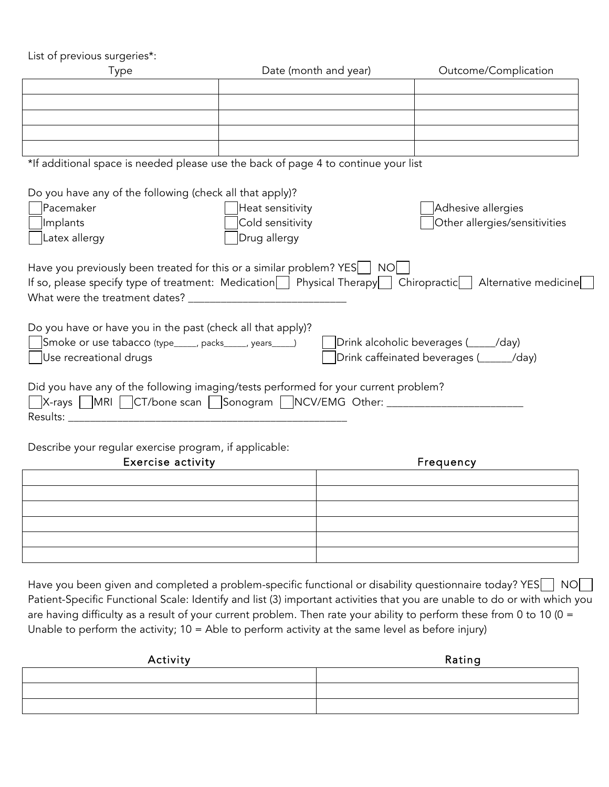| List of previous surgeries*:                                |                                                                                                              |                                         |
|-------------------------------------------------------------|--------------------------------------------------------------------------------------------------------------|-----------------------------------------|
| Type                                                        | Date (month and year)                                                                                        | Outcome/Complication                    |
|                                                             |                                                                                                              |                                         |
|                                                             |                                                                                                              |                                         |
|                                                             |                                                                                                              |                                         |
|                                                             |                                                                                                              |                                         |
|                                                             |                                                                                                              |                                         |
|                                                             | *If additional space is needed please use the back of page 4 to continue your list                           |                                         |
|                                                             |                                                                                                              |                                         |
| Do you have any of the following (check all that apply)?    |                                                                                                              |                                         |
| Pacemaker                                                   | Heat sensitivity                                                                                             | Adhesive allergies                      |
| Implants                                                    | Cold sensitivity                                                                                             | Other allergies/sensitivities           |
| Latex allergy                                               | Drug allergy                                                                                                 |                                         |
|                                                             |                                                                                                              |                                         |
|                                                             | Have you previously been treated for this or a similar problem? $YES$   NO                                   |                                         |
|                                                             | If so, please specify type of treatment: Medication   Physical Therapy   Chiropractic   Alternative medicine |                                         |
|                                                             |                                                                                                              |                                         |
|                                                             |                                                                                                              |                                         |
| Do you have or have you in the past (check all that apply)? |                                                                                                              |                                         |
| Smoke or use tabacco (type_____, packs_____, years____)     |                                                                                                              | Drink alcoholic beverages (____/day)    |
| Use recreational drugs                                      |                                                                                                              | Drink caffeinated beverages (_____/day) |
|                                                             |                                                                                                              |                                         |
|                                                             | Did you have any of the following imaging/tests performed for your current problem?                          |                                         |
|                                                             | □X-rays □MRI □CT/bone scan □Sonogram □NCV/EMG Other: ___________________________                             |                                         |
|                                                             |                                                                                                              |                                         |
|                                                             |                                                                                                              |                                         |
| Describe your regular exercise program, if applicable:      |                                                                                                              |                                         |
|                                                             |                                                                                                              |                                         |

| <b>Exercise activity</b> | Frequency |
|--------------------------|-----------|
|                          |           |
|                          |           |
|                          |           |
|                          |           |
|                          |           |
|                          |           |

Have you been given and completed a problem-specific functional or disability questionnaire today? YES NO NO Patient-Specific Functional Scale: Identify and list (3) important activities that you are unable to do or with which you are having difficulty as a result of your current problem. Then rate your ability to perform these from 0 to 10 (0 = Unable to perform the activity; 10 = Able to perform activity at the same level as before injury)

| Rating |
|--------|
|        |
|        |
|        |
|        |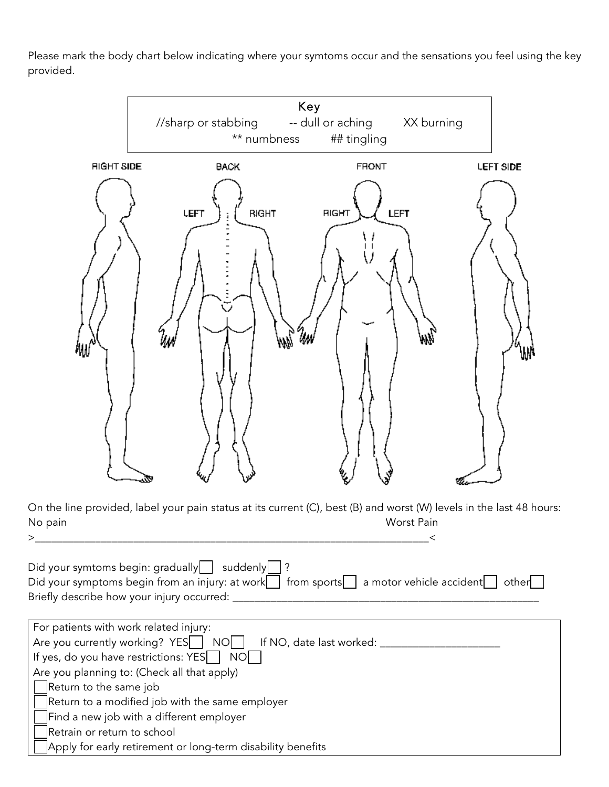Please mark the body chart below indicating where your symtoms occur and the sensations you feel using the key provided.



Apply for early retirement or long-term disability benefits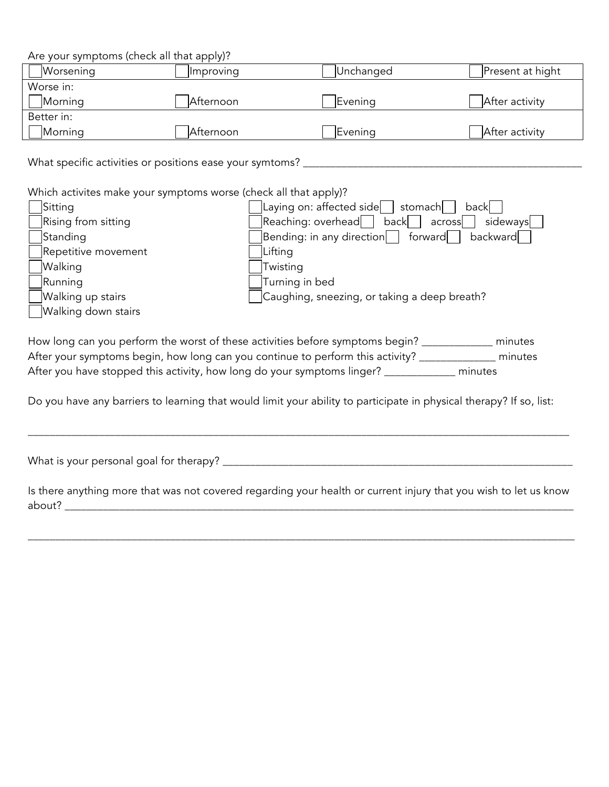Are your symptoms (check all that apply)?

| Worsening  | <i>Improving</i> | Unchanged | Present at hight |
|------------|------------------|-----------|------------------|
| Worse in:  |                  |           |                  |
| Morning    | Afternoon        | Evening   | After activity   |
| Better in: |                  |           |                  |
| Morning    | Afternoon        | Evening   | After activity   |

What specific activities or positions ease your symtoms? \_\_\_\_\_\_\_\_\_\_\_\_\_\_\_\_\_\_\_\_\_\_\_\_\_\_\_\_\_\_\_\_\_\_\_\_\_\_\_\_\_\_\_\_\_\_\_\_\_\_\_

Which activites make your symptoms worse (check all that apply)?

| Sitting             | Laying on: affected side<br>stomach<br>backl     |
|---------------------|--------------------------------------------------|
| Rising from sitting | Reaching: overhead<br>back<br>sideways<br>across |
| Standing            | Bending: in any direction<br>backward<br>forward |
| Repetitive movement | Lifting                                          |
| <b>Walking</b>      | Twisting                                         |
| Running             | Turning in bed                                   |
| Walking up stairs   | Caughing, sneezing, or taking a deep breath?     |
| Walking down stairs |                                                  |

How long can you perform the worst of these activities before symptoms begin? \_\_\_\_\_\_\_\_\_\_\_\_\_\_ minutes After your symptoms begin, how long can you continue to perform this activity? \_\_\_\_\_\_\_\_\_\_\_\_\_\_\_\_ minutes After you have stopped this activity, how long do your symptoms linger? \_\_\_\_\_\_\_\_\_\_\_\_\_\_ minutes

Do you have any barriers to learning that would limit your ability to participate in physical therapy? If so, list:

\_\_\_\_\_\_\_\_\_\_\_\_\_\_\_\_\_\_\_\_\_\_\_\_\_\_\_\_\_\_\_\_\_\_\_\_\_\_\_\_\_\_\_\_\_\_\_\_\_\_\_\_\_\_\_\_\_\_\_\_\_\_\_\_\_\_\_\_\_\_\_\_\_\_\_\_\_\_\_\_\_\_\_\_\_\_\_\_\_\_\_\_\_\_\_\_\_\_\_

What is your personal goal for therapy? \_\_\_\_\_\_\_\_\_\_\_\_\_\_\_\_\_\_\_\_\_\_\_\_\_\_\_\_\_\_\_\_\_\_\_\_\_\_\_\_\_\_\_\_\_\_\_\_\_\_\_\_\_\_\_\_\_\_\_\_\_\_\_\_

Is there anything more that was not covered regarding your health or current injury that you wish to let us know about? \_\_\_\_\_\_\_\_\_\_\_\_\_\_\_\_\_\_\_\_\_\_\_\_\_\_\_\_\_\_\_\_\_\_\_\_\_\_\_\_\_\_\_\_\_\_\_\_\_\_\_\_\_\_\_\_\_\_\_\_\_\_\_\_\_\_\_\_\_\_\_\_\_\_\_\_\_\_\_\_\_\_\_\_\_\_\_\_\_\_\_\_\_

\_\_\_\_\_\_\_\_\_\_\_\_\_\_\_\_\_\_\_\_\_\_\_\_\_\_\_\_\_\_\_\_\_\_\_\_\_\_\_\_\_\_\_\_\_\_\_\_\_\_\_\_\_\_\_\_\_\_\_\_\_\_\_\_\_\_\_\_\_\_\_\_\_\_\_\_\_\_\_\_\_\_\_\_\_\_\_\_\_\_\_\_\_\_\_\_\_\_\_\_